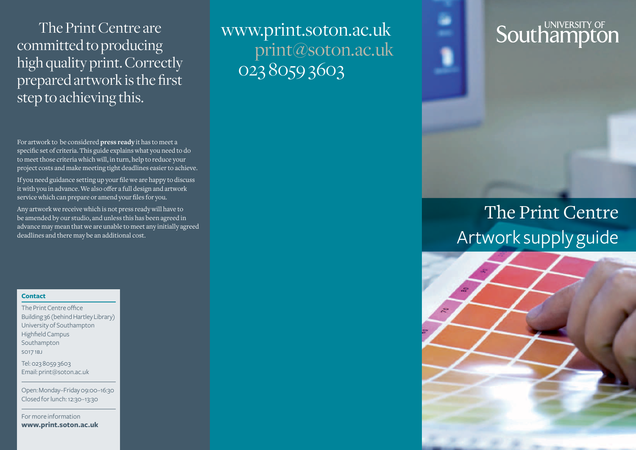The Print Centre are committed to producing high quality print. Correctly prepared artwork is the first step to achieving this.

For artwork to be considered **press ready** it has to meet a specific set of criteria. This guide explains what you need to do to meet those criteria which will, in turn, help to reduce your project costs and make meeting tight deadlines easier to achieve.

If you need guidance setting up your file we are happy to discuss it with you in advance. We also offer a full design and artwork service which can prepare or amend your files for you.

Any artwork we receive which is not press ready will have to be amended by our studio, and unless this has been agreed in advance may mean that we are unable to meet any initially agreed deadlines and there may be an additional cost.

### **Contact**

The Print Centre office Building 36 (behind Hartley Library) University of Southampton Highfield Campus Southampton so17 1bj

Tel: 023 8059 3603 Email: print@soton.ac.uk

Open: Monday–Friday 09:00–16:30 Closed for lunch: 12:30–13:30

For more information **www.print.soton.ac.uk** www.print.soton.ac.uk print@soton.ac.uk 023 8059 3603

# **Southampton**

## The Print Centre Artwork supply guide